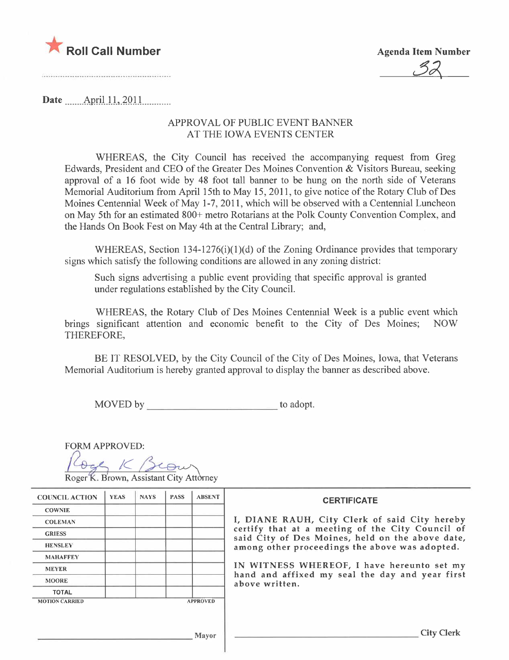

32

......................................

Date  $\frac{\text{April }11,2011}{\text{April}}$ 

## APPROV AL OF PUBLIC EVENT BANNER AT THE IOWA EVENTS CENTER

WHEREAS, the City Council has received the accompanying request from Greg Edwards, President and CEO of the Greater Des Moines Convention & Visitors Bureau, seeking approval of a 16 foot wide by 48 foot tall banner to be hung on the north side of Veterans Memorial Auditorium from April 15th to May 15,2011, to give notice of the Rotary Club of Des Moines Centennial Week of May 1-7, 2011, which will be observed with a Centennial Luncheon on May 5th for an estimated 800+ metro Rotarians at the Polk County Convention Complex, and the Hands On Book Fest on May 4th at the Central Library; and,

WHEREAS, Section 134-1276(i)(1)(d) of the Zoning Ordinance provides that temporary signs which satisfy the following conditions are allowed in any zoning district:

Such signs advertising a public event providing that specific approval is granted under regulations established by the City CounciL.

WHEREAS, the Rotary Club of Des Moines Centennial Week is a public event which significant attention and economic benefit to the City of Des Moines: NOW brings significant attention and economic benefit to the City of Des Moines; THEREFORE,

BE IT RESOLVED, by the City Council of the City of Des Moines, Iowa, that Veterans Memorial Auditorium is hereby granted approval to display the banner as described above.

MOVED by to adopt.

| <b>FORM APPROVED:</b> |  |
|-----------------------|--|
|                       |  |

Roger K. Brown, Assistant City Attorney

| <b>COUNCIL ACTION</b> | <b>YEAS</b> | <b>NAYS</b> | <b>PASS</b> | <b>ABSENT</b>                                                     | <b>CERTIFICATE</b>                                                                                                                                                                                      |  |
|-----------------------|-------------|-------------|-------------|-------------------------------------------------------------------|---------------------------------------------------------------------------------------------------------------------------------------------------------------------------------------------------------|--|
| <b>COWNIE</b>         |             |             |             |                                                                   |                                                                                                                                                                                                         |  |
| <b>COLEMAN</b>        |             |             |             |                                                                   | I, DIANE RAUH, City Clerk of said City hereby<br>certify that at a meeting of the City Council of<br>said City of Des Moines, held on the above date,<br>among other proceedings the above was adopted. |  |
| <b>GRIESS</b>         |             |             |             |                                                                   |                                                                                                                                                                                                         |  |
| <b>HENSLEY</b>        |             |             |             |                                                                   |                                                                                                                                                                                                         |  |
| <b>MAHAFFEY</b>       |             |             |             |                                                                   |                                                                                                                                                                                                         |  |
| <b>MEYER</b>          |             |             |             |                                                                   | IN WITNESS WHEREOF, I have hereunto set my                                                                                                                                                              |  |
| <b>MOORE</b>          |             |             |             | hand and affixed my seal the day and year first<br>above written. |                                                                                                                                                                                                         |  |
| <b>TOTAL</b>          |             |             |             |                                                                   |                                                                                                                                                                                                         |  |
| <b>MOTION CARRIED</b> |             |             |             | <b>APPROVED</b>                                                   |                                                                                                                                                                                                         |  |
|                       |             |             |             |                                                                   |                                                                                                                                                                                                         |  |
|                       |             |             |             |                                                                   |                                                                                                                                                                                                         |  |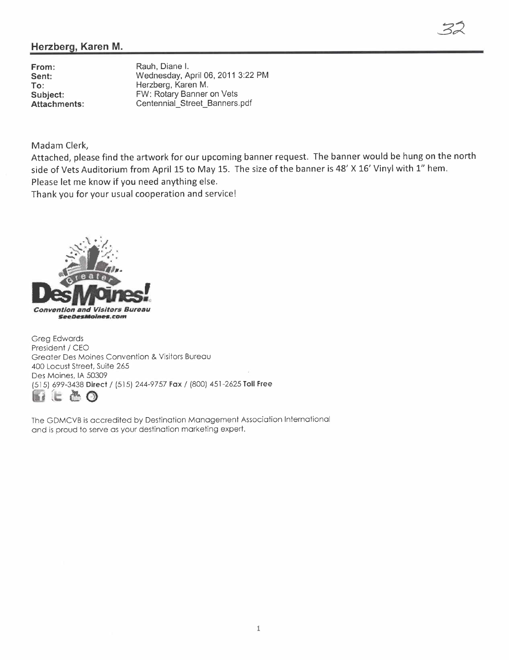## Herzberg, Karen M.

From: Sent: To: Subject: Attachments: Rauh, Diane i. Wednesday, April 06, 2011 3:22 PM Herzberg, Karen M. FW: Rotary Banner on Vets Centennial\_ Street\_ Banners.pdf

Madam Clerk,

Attached, please find the artwork for our upcoming banner request. The banner would be hung on the north side of Vets Auditorium from April 15 to May 15. The size of the banner is 48' X 16' Vinyl with 1" hem. Please let me know if you need anything else.

32

Thank you for your usual cooperation and service!



Greg Edwards President / CEO Greater Des Moines Convention & Visitors Bureau 400 Locust Street, Suite 265 Des Moines, IA 50309 (515) 699-3438 Direct / (515) 244-9757 Fax / (800) 451 -2625 Toll Free 1i :1: ~ G

The GDMCVB is accredited by Destination Management Association International and is proud to serve as your destination marketing expert.